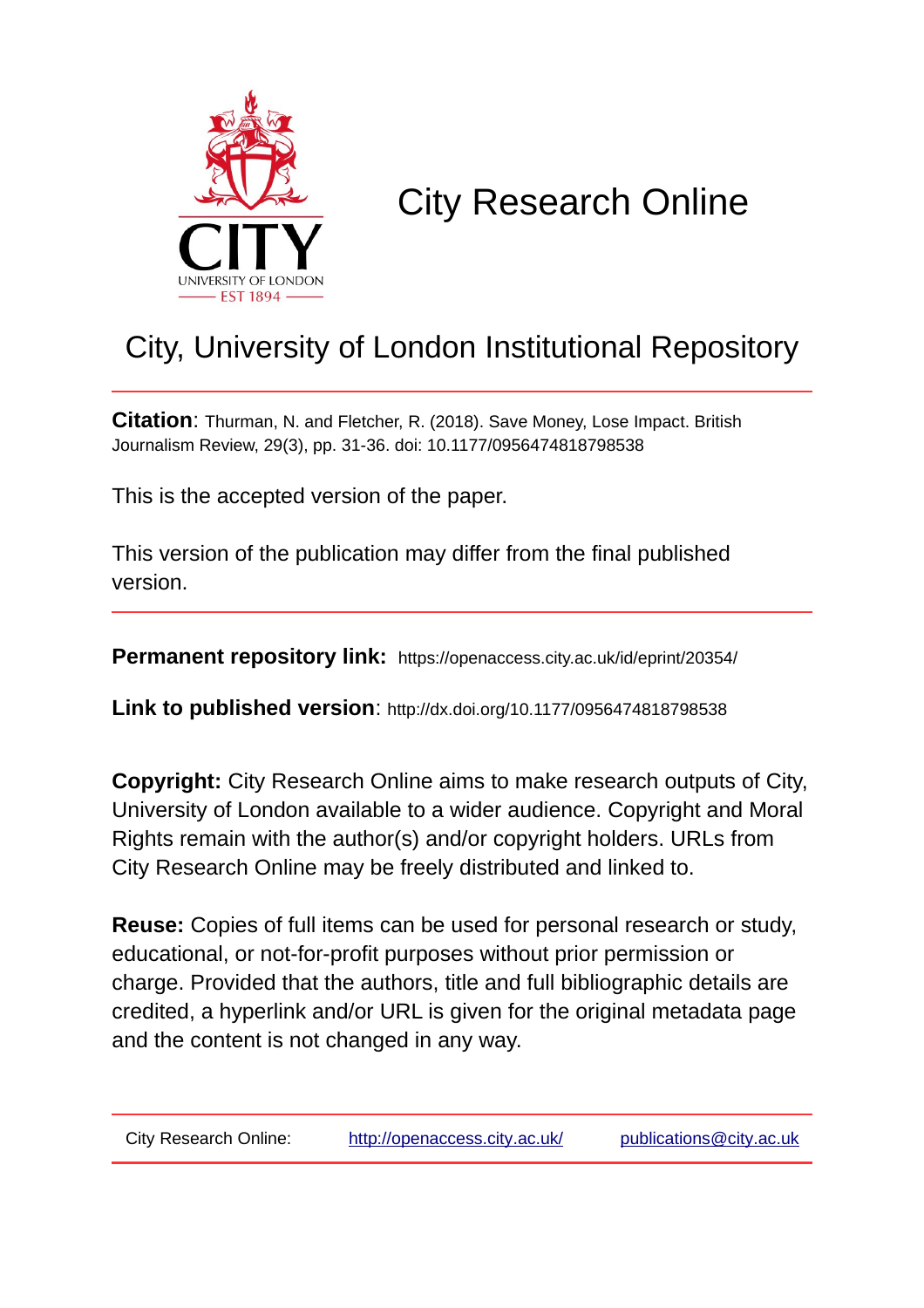

# City Research Online

## City, University of London Institutional Repository

**Citation**: Thurman, N. and Fletcher, R. (2018). Save Money, Lose Impact. British Journalism Review, 29(3), pp. 31-36. doi: 10.1177/0956474818798538

This is the accepted version of the paper.

This version of the publication may differ from the final published version.

**Permanent repository link:** https://openaccess.city.ac.uk/id/eprint/20354/

**Link to published version**: http://dx.doi.org/10.1177/0956474818798538

**Copyright:** City Research Online aims to make research outputs of City, University of London available to a wider audience. Copyright and Moral Rights remain with the author(s) and/or copyright holders. URLs from City Research Online may be freely distributed and linked to.

**Reuse:** Copies of full items can be used for personal research or study, educational, or not-for-profit purposes without prior permission or charge. Provided that the authors, title and full bibliographic details are credited, a hyperlink and/or URL is given for the original metadata page and the content is not changed in any way.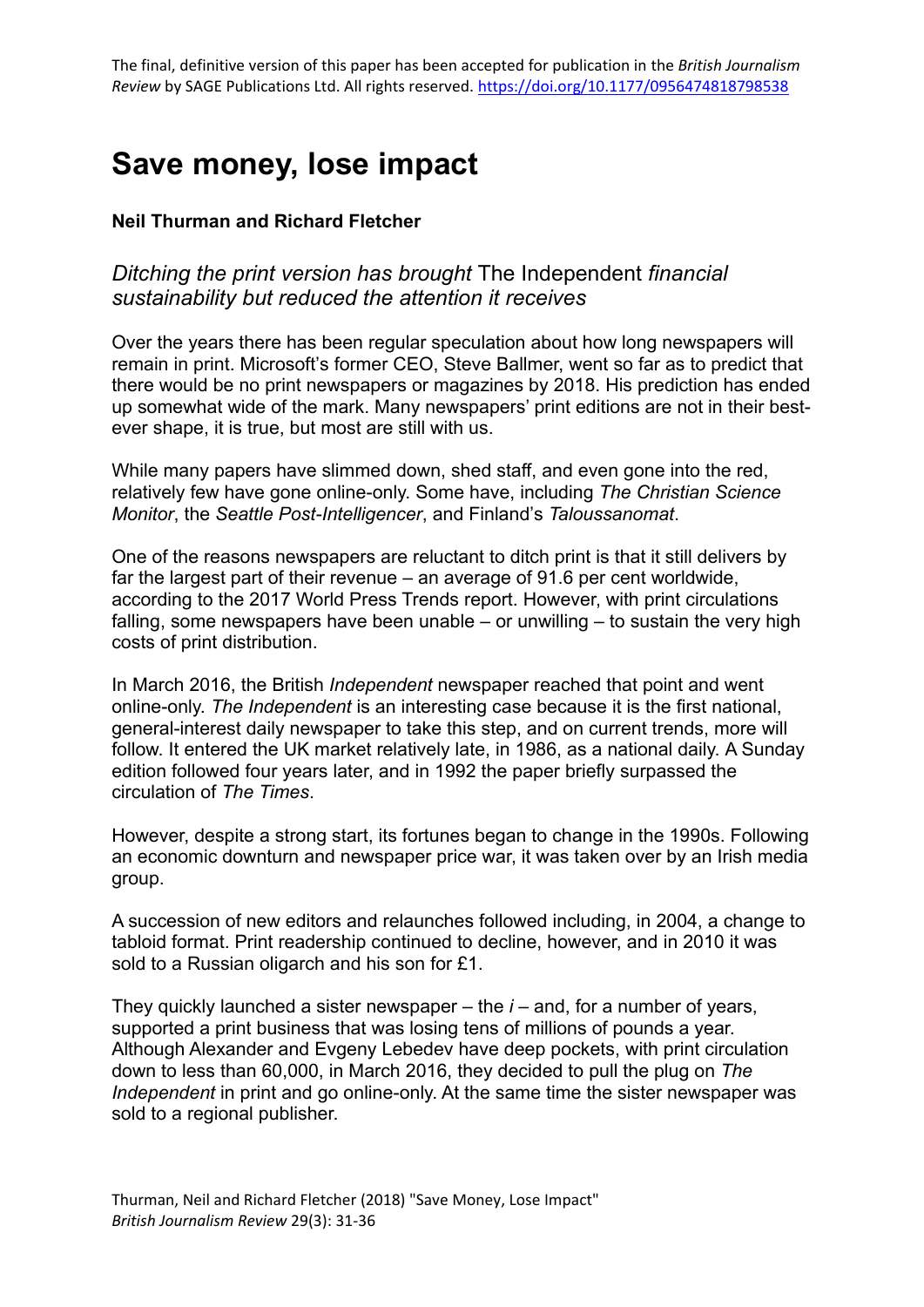### **Save money, lose impact**

#### **Neil Thurman and Richard Fletcher**

### *Ditching the print version has brought* The Independent *financial sustainability but reduced the attention it receives*

Over the years there has been regular speculation about how long newspapers will remain in print. Microsoft's former CEO, Steve Ballmer, went so far as to predict that there would be no print newspapers or magazines by 2018. His prediction has ended up somewhat wide of the mark. Many newspapers' print editions are not in their bestever shape, it is true, but most are still with us.

While many papers have slimmed down, shed staff, and even gone into the red, relatively few have gone online-only. Some have, including *The Christian Science Monitor*, the *Seattle Post-Intelligencer*, and Finland's *Taloussanomat*.

One of the reasons newspapers are reluctant to ditch print is that it still delivers by far the largest part of their revenue – an average of 91.6 per cent worldwide, according to the 2017 World Press Trends report. However, with print circulations falling, some newspapers have been unable – or unwilling – to sustain the very high costs of print distribution.

In March 2016, the British *Independent* newspaper reached that point and went online-only. *The Independent* is an interesting case because it is the first national, general-interest daily newspaper to take this step, and on current trends, more will follow. It entered the UK market relatively late, in 1986, as a national daily. A Sunday edition followed four years later, and in 1992 the paper briefly surpassed the circulation of *The Times*.

However, despite a strong start, its fortunes began to change in the 1990s. Following an economic downturn and newspaper price war, it was taken over by an Irish media group.

A succession of new editors and relaunches followed including, in 2004, a change to tabloid format. Print readership continued to decline, however, and in 2010 it was sold to a Russian oligarch and his son for £1.

They quickly launched a sister newspaper – the *i* – and, for a number of years, supported a print business that was losing tens of millions of pounds a year. Although Alexander and Evgeny Lebedev have deep pockets, with print circulation down to less than 60,000, in March 2016, they decided to pull the plug on *The Independent* in print and go online-only. At the same time the sister newspaper was sold to a regional publisher.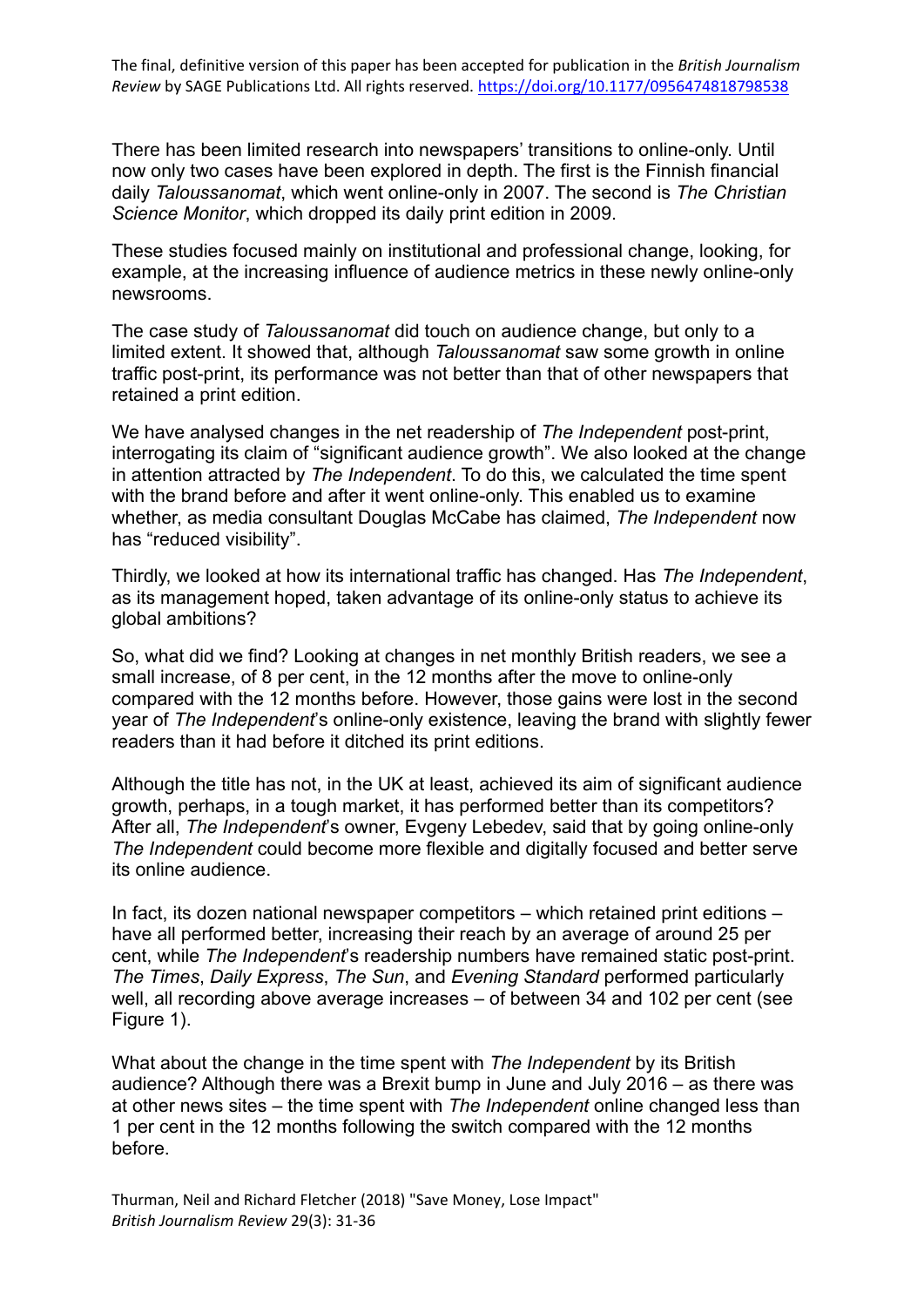There has been limited research into newspapers' transitions to online-only. Until now only two cases have been explored in depth. The first is the Finnish financial daily *Taloussanomat*, which went online-only in 2007. The second is *The Christian Science Monitor*, which dropped its daily print edition in 2009.

These studies focused mainly on institutional and professional change, looking, for example, at the increasing influence of audience metrics in these newly online-only newsrooms.

The case study of *Taloussanomat* did touch on audience change, but only to a limited extent. It showed that, although *Taloussanomat* saw some growth in online traffic post-print, its performance was not better than that of other newspapers that retained a print edition.

We have analysed changes in the net readership of *The Independent* post-print, interrogating its claim of "significant audience growth". We also looked at the change in attention attracted by *The Independent*. To do this, we calculated the time spent with the brand before and after it went online-only. This enabled us to examine whether, as media consultant Douglas McCabe has claimed, *The Independent* now has "reduced visibility".

Thirdly, we looked at how its international traffic has changed. Has *The Independent*, as its management hoped, taken advantage of its online-only status to achieve its global ambitions?

So, what did we find? Looking at changes in net monthly British readers, we see a small increase, of 8 per cent, in the 12 months after the move to online-only compared with the 12 months before. However, those gains were lost in the second year of *The Independent*'s online-only existence, leaving the brand with slightly fewer readers than it had before it ditched its print editions.

Although the title has not, in the UK at least, achieved its aim of significant audience growth, perhaps, in a tough market, it has performed better than its competitors? After all, *The Independent*'s owner, Evgeny Lebedev, said that by going online-only *The Independent* could become more flexible and digitally focused and better serve its online audience.

In fact, its dozen national newspaper competitors – which retained print editions – have all performed better, increasing their reach by an average of around 25 per cent, while *The Independent*'s readership numbers have remained static post-print. *The Times*, *Daily Express*, *The Sun*, and *Evening Standard* performed particularly well, all recording above average increases – of between 34 and 102 per cent (see Figure 1).

What about the change in the time spent with *The Independent* by its British audience? Although there was a Brexit bump in June and July 2016 – as there was at other news sites – the time spent with *The Independent* online changed less than 1 per cent in the 12 months following the switch compared with the 12 months before.

Thurman, Neil and Richard Fletcher (2018) "Save Money, Lose Impact" *British Journalism Review* 29(3): 31-36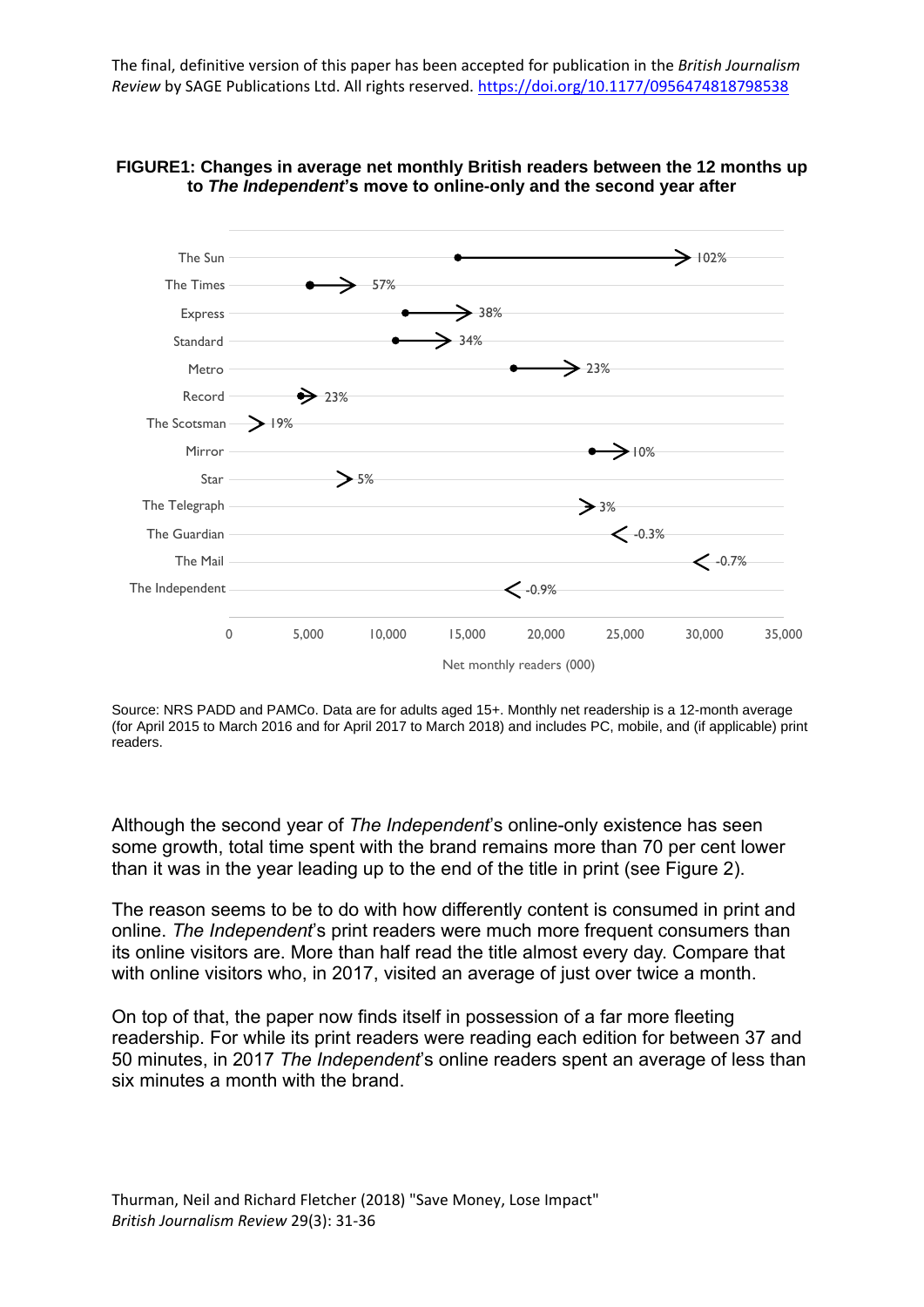



Source: NRS PADD and PAMCo. Data are for adults aged 15+. Monthly net readership is a 12-month average (for April 2015 to March 2016 and for April 2017 to March 2018) and includes PC, mobile, and (if applicable) print readers.

Although the second year of *The Independent*'s online-only existence has seen some growth, total time spent with the brand remains more than 70 per cent lower than it was in the year leading up to the end of the title in print (see Figure 2).

The reason seems to be to do with how differently content is consumed in print and online. *The Independent*'s print readers were much more frequent consumers than its online visitors are. More than half read the title almost every day. Compare that with online visitors who, in 2017, visited an average of just over twice a month.

On top of that, the paper now finds itself in possession of a far more fleeting readership. For while its print readers were reading each edition for between 37 and 50 minutes, in 2017 *The Independent*'s online readers spent an average of less than six minutes a month with the brand.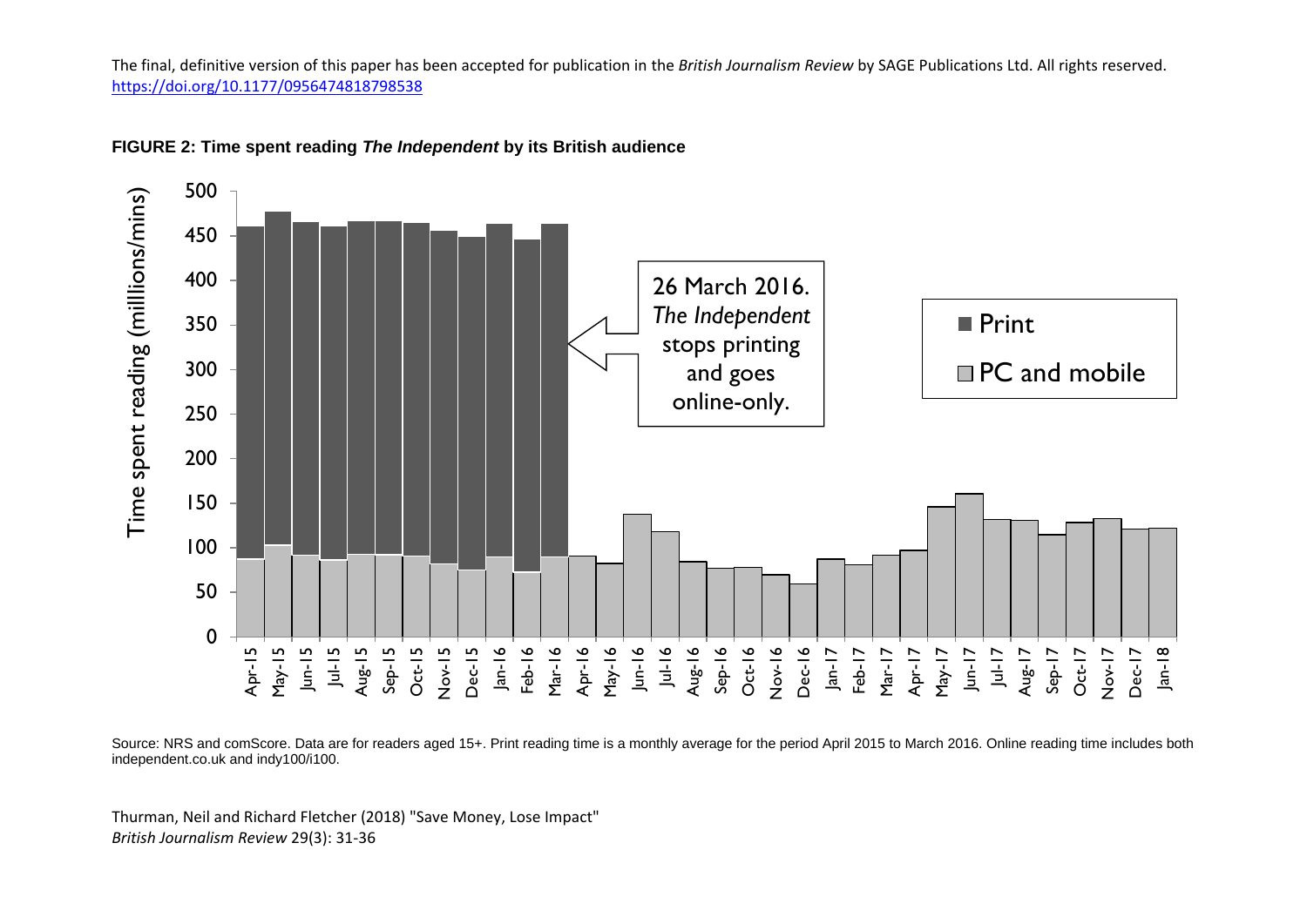

#### **FIGURE 2: Time spent reading** *The Independent* **by its British audience**

Source: NRS and comScore. Data are for readers aged 15+. Print reading time is a monthly average for the period April 2015 to March 2016. Online reading time includes both independent.co.uk and indy100/i100.

Thurman, Neil and Richard Fletcher (2018) "Save Money, Lose Impact" *British Journalism Review* 29(3): 31-36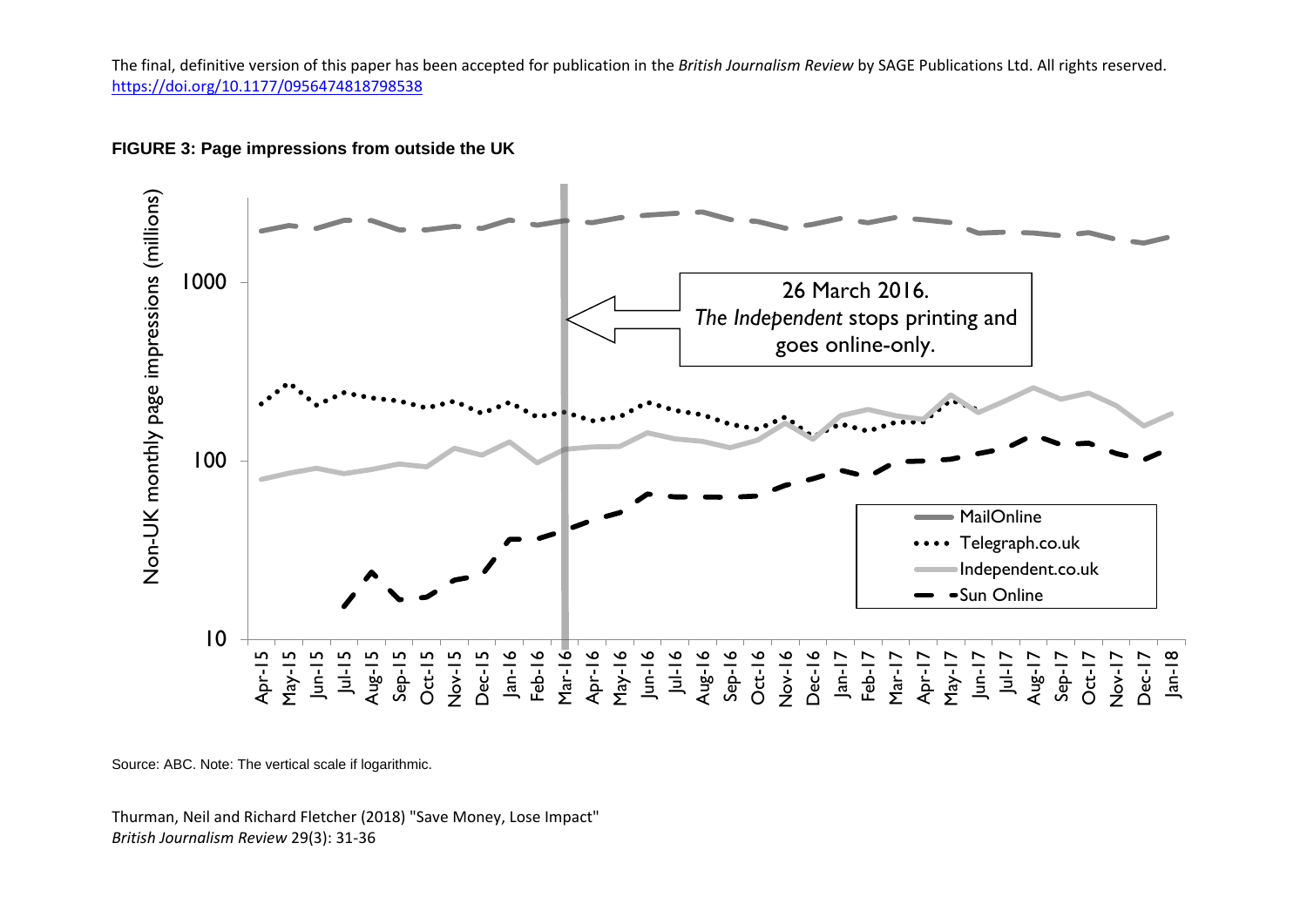



Source: ABC. Note: The vertical scale if logarithmic.

Thurman, Neil and Richard Fletcher (2018) "Save Money, Lose Impact" *British Journalism Review* 29(3): 31-36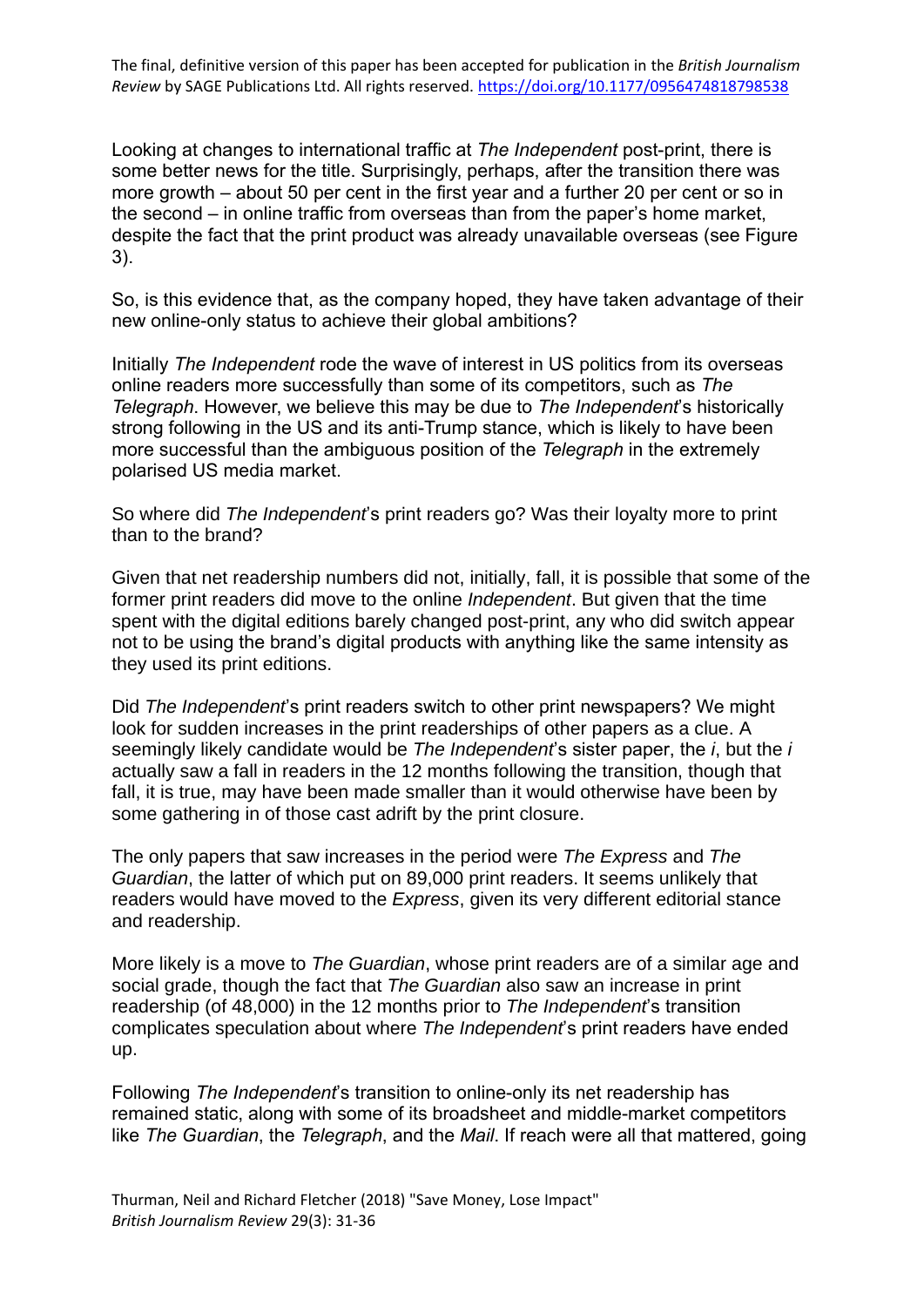Looking at changes to international traffic at *The Independent* post-print, there is some better news for the title. Surprisingly, perhaps, after the transition there was more growth – about 50 per cent in the first year and a further 20 per cent or so in the second – in online traffic from overseas than from the paper's home market, despite the fact that the print product was already unavailable overseas (see Figure 3).

So, is this evidence that, as the company hoped, they have taken advantage of their new online-only status to achieve their global ambitions?

Initially *The Independent* rode the wave of interest in US politics from its overseas online readers more successfully than some of its competitors, such as *The Telegraph*. However, we believe this may be due to *The Independent*'s historically strong following in the US and its anti-Trump stance, which is likely to have been more successful than the ambiguous position of the *Telegraph* in the extremely polarised US media market.

So where did *The Independent*'s print readers go? Was their loyalty more to print than to the brand?

Given that net readership numbers did not, initially, fall, it is possible that some of the former print readers did move to the online *Independent*. But given that the time spent with the digital editions barely changed post-print, any who did switch appear not to be using the brand's digital products with anything like the same intensity as they used its print editions.

Did *The Independent*'s print readers switch to other print newspapers? We might look for sudden increases in the print readerships of other papers as a clue. A seemingly likely candidate would be *The Independent*'s sister paper, the *i*, but the *i* actually saw a fall in readers in the 12 months following the transition, though that fall, it is true, may have been made smaller than it would otherwise have been by some gathering in of those cast adrift by the print closure.

The only papers that saw increases in the period were *The Express* and *The Guardian*, the latter of which put on 89,000 print readers. It seems unlikely that readers would have moved to the *Express*, given its very different editorial stance and readership.

More likely is a move to *The Guardian*, whose print readers are of a similar age and social grade, though the fact that *The Guardian* also saw an increase in print readership (of 48,000) in the 12 months prior to *The Independent*'s transition complicates speculation about where *The Independent*'s print readers have ended up.

Following *The Independent*'s transition to online-only its net readership has remained static, along with some of its broadsheet and middle-market competitors like *The Guardian*, the *Telegraph*, and the *Mail*. If reach were all that mattered, going